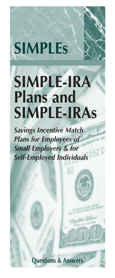# **SIMPLEs**

# **SIMPLE-IRA Plans and SIMPLE-IRAs**

*Savings Incentive Match Plans for Employees of Small Employers & for Self-Employed Individuals*

**Questions & Answers**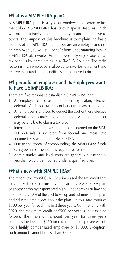# **What is a SIMPLE-IRA plan?**

A SIMPLE-IRA plan is a type of employer-sponsored retirement plan. A SIMPLE-IRA has its own special features which will make it attractive to some employers and unattractive to others. The purpose of this brochure is to explain the basic features of a SIMPLE-IRA plan. If you are an employee and not an employer, you will still benefit from understanding how a SIMPLE-IRA plan works. An employee may enjoy substantial tax benefits by participating in a SIMPLE-IRA plan. The main reason is – an employee is allowed to save for retirement and receives substantial tax benefits as an incentive to do so.

# **Why would an employer and its employees want to have a SIMPLE-IRA?**

There are five reasons to establish a SIMPLE-IRA Plan:

- 1. An employee can save for retirement by making elective deferrals. And also lower his or her current taxable income.
- 2. An employer is allowed to deduct the cost of these elective deferrals and its matching contributions. And the employer may be eligible to claim a tax credit.
- 3. Interest or the other investment income earned on the SIM-PLE deferrals is sheltered from federal and most state income taxes while in the SIMPLE-IRA.
- 4. Due to the effects of compounding, the SIMPLE-IRA funds can grow into a sizable nest egg for retirement.
- 5. Administrative and legal costs are generally substantially less than would be incurred under a qualified plan.

# **What's new with SIMPLE IRAs?**

The recent tax law (SECURE Act) increased the tax credit that may be available to a business for starting a SIMPLE IRA plan or another employer sponsored plan. Under pre-2020 law, the credit equals 50% of the cost to set up and administer the plan and educate employees about the plan, up to a maximum of \$500 per year for each the first three years. Commencing with 2020, the maximum credit of \$500 per year is increased as follows. The maximum amount per year for three years becomes the lesser of \$250 for each eligible employee who is not a highly compensated employee or \$5,000. Exception, such amount cannot be less than \$500.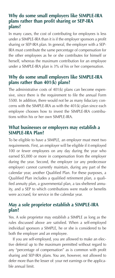#### **Why do some small employers like SIMPLE-IRA plans rather than profit sharing or SEP-IRA plans?**

In many cases, the cost of contributing for employees is less under a SIMPLE-IRA than it is if the employer sponsors a profit sharing or SEP-IRA plan. In general, the employer with a SEP-IRA must contribute the same percentage of compensation for the other employees as he or she contributes for himself or herself, whereas the maximum contribution for an employee under a SIMPLE-IRA plan is 3% of his or her compensation.

# **Why do some small employers like SIMPLE-IRA plans rather than 401(k) plans?**

The administrative costs of 401(k) plans can become expensive, since there is the requirement to file the annual Form 5500. In addition, there would not be as many fiduciary concerns with the SIMPLE-IRA as with the 401(k) plan since each employee chooses how to invest the SIMPLE-IRA contributions within his or her own SIMPLE-IRA.

# **What businesses or employers may establish a SIMPLE-IRA Plan?**

To be eligible to have a SIMPLE, an employer must meet two requirements. First, an employer will be eligible if it employed 100 or fewer employees on any day during the year who earned \$5,000 or more in compensation from the employer during the year. Second, the employer (or any predecessor employer) cannot currently maintain, during any part of the calendar year, another Qualified Plan. For these purposes, a Qualified Plan includes a qualified retirement plan, a qualified annuity plan, a governmental plan, a tax-sheltered annuity, and a SEP to which contributions were made or benefits were accrued, for service in the calendar year.

### **May a sole proprietor establish a SIMPLE-IRA plan?**

Yes. A sole proprietor may establish a SIMPLE as long as the rules discussed above are satisfied. When a self-employed individual sponsors a SIMPLE, he or she is considered to be both the employer and an employee.

 If you are self-employed, you are allowed to make an elective deferral up to the maximum permitted without regard to any "percentage of compensation" as is common with profit sharing and SEP-IRA plans. You are, however, not allowed to defer more than the lesser of: your net earnings or the applicable annual limit.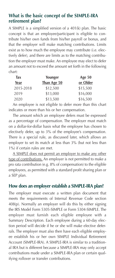# **What is the basic concept of the SIMPLE-IRA retirement plan?**

A SIMPLE is a simplified version of a 401(k) plan. The basic concept is that an employee/participant is eligible to contribute his/her own funds from his/her payroll or bonus, and that the employer will make matching contributions. Limits exist as to how much the employee may contribute (i.e. electively defer), and there are limits as to the matching contribution the employer must make. An employee may elect to defer an amount not to exceed the amount set forth in the following chart:

| Tax       | Younger     | Age $50$ |
|-----------|-------------|----------|
| Year      | Than Age 50 | or Older |
| 2015-2018 | \$12,500    | \$15,500 |
| 2019      | \$13,000    | \$16,000 |
| 2020      | \$13,500    | \$16,500 |

 An employee is not eligible to defer more than this chart indicates or more than his or her compensation.

 The amount which an employee defers must be expressed as a percentage of compensation. The employer must match on a dollar-for-dollar basis what the employee has chosen to electively defer, up to 3% of the employee's compensation. There is a special rule, as discussed later, which allows an employer to set its match at less than 3% (but not less than 1%) if certain rules are met.

 A SIMPLE does not permit an employer to make any other type of contributions. An employer is not permitted to make a pro rata contribution (e.g. 8% of compensation) to the eligible employees, as permitted with a standard profit sharing plan or a SEP plan.

# **How does an employer establish a SIMPLE-IRA plan?**

The employer must execute a written plan document that meets the requirements of Internal Revenue Code section 408(p). Normally an employer will do this by either signing the IRS Model Form 5305-SIMPLE or Form 5304-SIMPLE. The employer must furnish each eligible employee with a Summary Description. Each employee during a 60-day election period will decide if he or she will make elective deferrals. The employer must also then have each eligible employee establish his or her own SIMPLE Individual Retirement Account (SIMPLE-IRA). A SIMPLE-IRA is similar to a traditional IRA but is different because a SIMPLE-IRA may only accept contributions made under a SIMPLE-IRA plan or certain qualifying rollover or transfer contributions.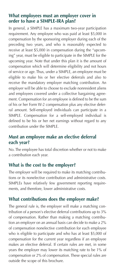# **What employees must an employer cover in order to have a SIMPLE-IRA plan?**

In general, a SIMPLE has a maximum two-year participation requirement. Any employee who was paid at least \$5,000 in compensation by the sponsoring employer during each of the preceding two years, and who is reasonably expected to receive at least \$5,000 in compensation during the "upcoming" year, must be eligible to participate in the SIMPLE for the upcoming year. Note that under this plan it is the amount of compensation which will determine eligibility and not hours of service or age. Thus, under a SIMPLE, an employee must be eligible to make his or her elective deferrals and also to receive the mandatory employer matching contribution. An employer will be able to choose to exclude nonresident aliens and employees covered under a collective bargaining agreement. Compensation for an employee is defined to be the sum of his or her Form W-2 compensation plus any elective deferral amount. Self-employed individuals can participate in a SIMPLE. Compensation for a self-employed individual is defined to be his or her net earnings without regard to any contribution under the SIMPLE.

# **Must an employee make an elective deferral each year?**

No. The employee has total discretion whether or not to make a contribution each year.

# **What is the cost to the employer?**

The employer will be required to make its matching contributions or its nonelective contribution and administrative costs. SIMPLEs have relatively few government reporting requirements, and therefore, lower administrative costs.

#### **What contributions does the employer make?**

The general rule is, the employer will make a matching contribution of a person's elective deferral contributions up to 3% of compensation. Rather than making a matching contribution an employer on an annual basis can decide to make a 2% of compensation nonelective contribution for each employee who is eligible to participate and who has at least \$5,000 of compensation for the current year regardless if an employee makes an elective deferral. If certain rules are met, in some years the employer may lower its matching rate to be 1% of compensation or 2% of compensation. These special rules are outside the scope of this brochure.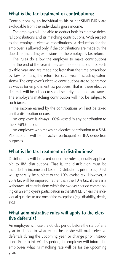#### **What is the tax treatment of contributions?**

Contributions by an individual to his or her SIMPLE-IRA are excludable from the individual's gross income.

 The employer will be able to deduct both its elective deferral contributions and its matching contributions. With respect to the employee elective contributions, a deduction for the employer is allowed only if the contributions are made by the due date (including extensions) of the employer's tax return.

 The rules do allow the employer to make contributions after the end of the year if they are made on account of such taxable year and are made not later than the time prescribed by law for filing the return for such year (including extensions). The employee's elective contributions are to be treated as wages for employment tax purposes. That is, these elective deferrals will be subject to social security and medicare taxes. The employer's matching contribution will not be subject to such taxes.

 The income earned by the contributions will not be taxed until a distribution occurs.

 An employee is always 100% vested in any contribution to the SIMPLE account.

 An employee who makes an elective contribution to a SIM-PLE account will be an active participant for IRA deduction purposes.

#### **What is the tax treatment of distributions?**

Distributions will be taxed under the rules generally applicable to IRA distributions. That is, the distribution must be included in income and taxed. Distributions prior to age  $59\frac{1}{2}$ will generally be subject to the 10% excise tax. However, a 25% tax will be imposed, rather than the 10% tax, if there is a withdrawal of contributions within the two-year period commencing on an employee's participation in the SIMPLE, unless the individual qualifies to use one of the exceptions (e.g. disability, death, etc.)

### **What administrative rules will apply to the elective deferrals?**

An employee will use the 60-day period before the start of any year to decide to what extent he or she will make elective deferrals during the upcoming year, or change prior instructions. Prior to this 60-day period, the employer will inform the employees what its matching rate will be for the upcoming year.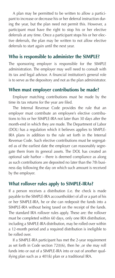A plan may be permitted to be written to allow a participant to increase or decrease his or her deferral instruction during the year, but the plan need not permit this. However, a participant must have the right to stop his or her elective deferrals at any time. Once a participant stops his or her elective deferrals, the plan may be written to not allow elective deferrals to start again until the next year.

# **Who is responsible to administer the SIMPLE?**

The sponsoring employer is responsible for the SIMPLE administration. The employer may well need to consult with its tax and legal advisor. A financial institution's general role is to serve as the depository and not as the plan administrator.

### **When must employer contributions be made?**

 Employer matching contributions must be made by the time its tax returns for the year are filed.

 The Internal Revenue Code provides the rule that an employer must contribute an employee's elective contributions to his or her SIMPLE-IRA not later than 30 days after the month-end in which they are made. The Department of Labor (DOL) has a regulation which it believes applies to SIMPLE-IRA plans in addition to the rule set forth in the Internal Revenue Code. Such elective contributions must be segregated as of the earliest date the employer can reasonably segregate them from its general assets. The DOL has created an optional safe harbor – there is deemed compliance as along as such contributions are deposited no later than the 7th business day following the day on which such amount is received by the employer.

# **What rollover rules apply to SIMPLE-IRAs?**

If a person receives a distribution (i.e. the check is made payable to the SIMPLE-IRA accountholder) of all or a part of his or her SIMPLE-IRA, he or she can redeposit the funds into a SIMPLE-IRA without being taxed on the receipt of the funds. The standard IRA rollover rules apply. These are: the rollover must be completed within 60 days, only one IRA distribution, including a SIMPLE-IRA distribution, may be rolled over within a 12-month period and a required distribution is ineligible to be rolled over.

 If a SIMPLE-IRA participant has met the 2-year requirement as set forth in Code section 72(t)(6), then he ,or she may roll funds into or out of a SIMPLE-IRA into or out of another qualifying plan such as a 401(k) plan or a traditional IRA.